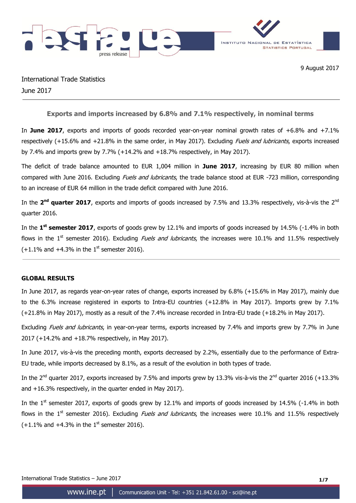

International Trade Statistics June 2017

**Exports and imports increased by 6.8% and 7.1% respectively, in nominal terms**

In **June 2017**, exports and imports of goods recorded year-on-year nominal growth rates of +6.8% and +7.1% respectively (+15.6% and +21.8% in the same order, in May 2017). Excluding *Fuels and lubricants*, exports increased by 7.4% and imports grew by 7.7% (+14.2% and +18.7% respectively, in May 2017).

The deficit of trade balance amounted to EUR 1,004 million in **June 2017**, increasing by EUR 80 million when compared with June 2016. Excluding *Fuels and lubricants*, the trade balance stood at EUR -723 million, corresponding to an increase of EUR 64 million in the trade deficit compared with June 2016.

In the 2<sup>nd</sup> quarter 2017, exports and imports of goods increased by 7.5% and 13.3% respectively, vis-à-vis the 2<sup>nd</sup> quarter 2016.

In the **1 st semester 2017**, exports of goods grew by 12.1% and imports of goods increased by 14.5% (-1.4% in both flows in the 1<sup>st</sup> semester 2016). Excluding *Fuels and Jubricants*, the increases were 10.1% and 11.5% respectively  $(+1.1\%$  and  $+4.3\%$  in the 1<sup>st</sup> semester 2016).

### **GLOBAL RESULTS**

In June 2017, as regards year-on-year rates of change, exports increased by 6.8% (+15.6% in May 2017), mainly due to the 6.3% increase registered in exports to Intra-EU countries (+12.8% in May 2017). Imports grew by 7.1% (+21.8% in May 2017), mostly as a result of the 7.4% increase recorded in Intra-EU trade (+18.2% in May 2017).

Excluding Fuels and lubricants, in year-on-year terms, exports increased by 7.4% and imports grew by 7.7% in June 2017 (+14.2% and +18.7% respectively, in May 2017).

In June 2017, vis-à-vis the preceding month, exports decreased by 2.2%, essentially due to the performance of Extra-EU trade, while imports decreased by 8.1%, as a result of the evolution in both types of trade.

In the 2<sup>nd</sup> quarter 2017, exports increased by 7.5% and imports grew by 13.3% vis-à-vis the 2<sup>nd</sup> quarter 2016 (+13.3% and +16.3% respectively, in the quarter ended in May 2017).

In the  $1<sup>st</sup>$  semester 2017, exports of goods grew by 12.1% and imports of goods increased by 14.5% (-1.4% in both flows in the  $1<sup>st</sup>$  semester 2016). Excluding *Fuels and lubricants*, the increases were 10.1% and 11.5% respectively  $(+1.1\%$  and  $+4.3\%$  in the 1<sup>st</sup> semester 2016).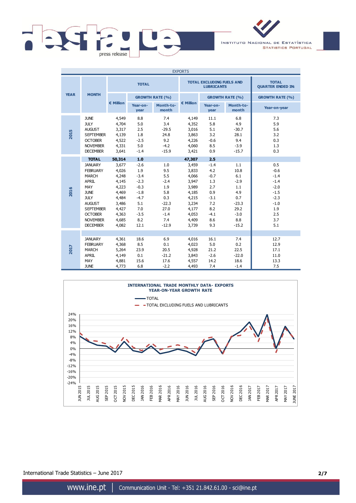



| <b>EXPORTS</b> |                                                                                                                                                                                                                     |                                                                                                                    |                                                                                                               |                                                                                                 |                                                                                                                    |                                                                                                     |                                                                                                  |                                                                                                       |
|----------------|---------------------------------------------------------------------------------------------------------------------------------------------------------------------------------------------------------------------|--------------------------------------------------------------------------------------------------------------------|---------------------------------------------------------------------------------------------------------------|-------------------------------------------------------------------------------------------------|--------------------------------------------------------------------------------------------------------------------|-----------------------------------------------------------------------------------------------------|--------------------------------------------------------------------------------------------------|-------------------------------------------------------------------------------------------------------|
|                |                                                                                                                                                                                                                     |                                                                                                                    | <b>TOTAL</b>                                                                                                  |                                                                                                 |                                                                                                                    | <b>TOTAL EXCLUDING FUELS AND</b><br><b>LUBRICANTS</b>                                               | <b>TOTAL</b><br><b>QUARTER ENDED IN:</b>                                                         |                                                                                                       |
| <b>YEAR</b>    | <b>MONTH</b>                                                                                                                                                                                                        |                                                                                                                    |                                                                                                               | <b>GROWTH RATE (%)</b>                                                                          |                                                                                                                    |                                                                                                     | <b>GROWTH RATE (%)</b>                                                                           | <b>GROWTH RATE (%)</b>                                                                                |
|                |                                                                                                                                                                                                                     | € Million                                                                                                          | Year-on-<br>year                                                                                              | Month-to-<br>month                                                                              | € Million                                                                                                          | Year-on-<br>year                                                                                    | Month-to-<br>month                                                                               | Year-on-year                                                                                          |
| 2015           | <b>JUNE</b><br><b>JULY</b><br><b>AUGUST</b><br><b>SEPTEMBER</b><br><b>OCTOBER</b><br><b>NOVEMBER</b><br><b>DECEMBER</b>                                                                                             | 4,549<br>4,704<br>3,317<br>4,139<br>4,522<br>4,331<br>3,641                                                        | 8.8<br>5.0<br>2.5<br>1.8<br>$-2.5$<br>5.0<br>$-1.4$                                                           | 7.4<br>3.4<br>$-29.5$<br>24.8<br>9.2<br>$-4.2$<br>$-15.9$                                       | 4,149<br>4,352<br>3,016<br>3,863<br>4,226<br>4,060<br>3,421                                                        | 11.1<br>5.8<br>5.1<br>3.2<br>$-0.6$<br>8.5<br>0.9                                                   | 6.8<br>4.9<br>$-30.7$<br>28.1<br>9.4<br>$-3.9$<br>$-15.7$                                        | 7.3<br>5.9<br>5.6<br>3.2<br>0.3<br>1.3<br>0.3                                                         |
| 2016           | <b>TOTAL</b><br><b>JANUARY</b><br><b>FEBRUARY</b><br><b>MARCH</b><br><b>APRIL</b><br>MAY<br><b>JUNE</b><br><b>JULY</b><br><b>AUGUST</b><br><b>SEPTEMBER</b><br><b>OCTOBER</b><br><b>NOVEMBER</b><br><b>DECEMBER</b> | 50,314<br>3,677<br>4,026<br>4,248<br>4,145<br>4,223<br>4,469<br>4,484<br>3,486<br>4,427<br>4,363<br>4,685<br>4,082 | 1.0<br>$-2.6$<br>1.9<br>$-3.4$<br>$-2.3$<br>$-0.3$<br>$-1.8$<br>$-4.7$<br>5.1<br>7.0<br>$-3.5$<br>8.2<br>12.1 | 1.0<br>9.5<br>5.5<br>$-2.4$<br>1.9<br>5.8<br>0.3<br>$-22.3$<br>27.0<br>$-1.4$<br>7.4<br>$-12.9$ | 47,307<br>3,459<br>3,833<br>4,066<br>3,947<br>3,989<br>4,185<br>4,215<br>3,234<br>4,177<br>4,053<br>4,409<br>3,739 | 2.5<br>$-1.4$<br>4.2<br>$-0.7$<br>1.3<br>2.7<br>0.9<br>$-3.1$<br>7.2<br>8.2<br>$-4.1$<br>8.6<br>9.3 | 1.1<br>10.8<br>6.1<br>$-2.9$<br>1.1<br>4.9<br>0.7<br>$-23.3$<br>29.2<br>$-3.0$<br>8.8<br>$-15.2$ | 0.5<br>$-0.6$<br>$-1.4$<br>$-1.4$<br>$-2.0$<br>$-1.5$<br>$-2.3$<br>$-1.0$<br>1.9<br>2.5<br>3.7<br>5.1 |
| 2017           | <b>JANUARY</b><br><b>FEBRUARY</b><br><b>MARCH</b><br><b>APRIL</b><br>MAY<br><b>JUNE</b>                                                                                                                             | 4,361<br>4,368<br>5,264<br>4,149<br>4,881<br>4,773                                                                 | 18.6<br>8.5<br>23.9<br>0.1<br>15.6<br>6.8                                                                     | 6.9<br>0.1<br>20.5<br>$-21.2$<br>17.6<br>$-2.2$                                                 | 4,016<br>4,023<br>4,928<br>3,843<br>4,557<br>4,493                                                                 | 16.1<br>5.0<br>21.2<br>$-2.6$<br>14.2<br>7.4                                                        | 7.4<br>0.2<br>22.5<br>$-22.0$<br>18.6<br>$-1.4$                                                  | 12.7<br>12.9<br>17.1<br>11.0<br>13.3<br>7.5                                                           |



International Trade Statistics – June 2017 **2/7**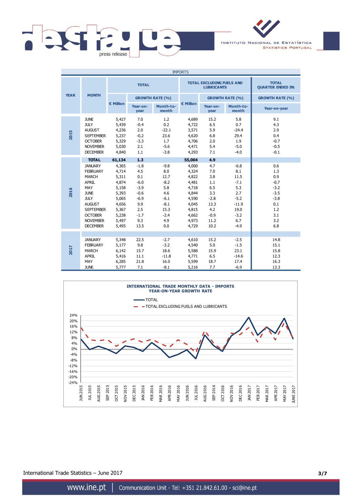



| <b>IMPORTS</b> |                                                                                                                                                                                                                     |                                                                                                                    |                                                                                                            |                                                                                                   |                                                                                                                    |                                                                                                  |                                                                                                       |                                                                                              |
|----------------|---------------------------------------------------------------------------------------------------------------------------------------------------------------------------------------------------------------------|--------------------------------------------------------------------------------------------------------------------|------------------------------------------------------------------------------------------------------------|---------------------------------------------------------------------------------------------------|--------------------------------------------------------------------------------------------------------------------|--------------------------------------------------------------------------------------------------|-------------------------------------------------------------------------------------------------------|----------------------------------------------------------------------------------------------|
|                |                                                                                                                                                                                                                     |                                                                                                                    | <b>TOTAL</b>                                                                                               |                                                                                                   |                                                                                                                    | <b>TOTAL EXCLUDING FUELS AND</b><br><b>LUBRICANTS</b>                                            | <b>TOTAL</b><br><b>QUARTER ENDED IN:</b>                                                              |                                                                                              |
| <b>YEAR</b>    | <b>MONTH</b>                                                                                                                                                                                                        |                                                                                                                    |                                                                                                            | <b>GROWTH RATE (%)</b>                                                                            |                                                                                                                    |                                                                                                  | <b>GROWTH RATE (%)</b>                                                                                | <b>GROWTH RATE (%)</b>                                                                       |
|                |                                                                                                                                                                                                                     | € Million                                                                                                          | Year-on-<br>year                                                                                           | Month-to-<br>month                                                                                | € Million                                                                                                          | Year-on-<br>year                                                                                 | Month-to-<br>month                                                                                    | Year-on-year                                                                                 |
| 2015           | <b>JUNE</b><br><b>JULY</b><br><b>AUGUST</b><br><b>SEPTEMBER</b><br><b>OCTOBER</b><br><b>NOVEMBER</b><br><b>DECEMBER</b>                                                                                             | 5,427<br>5,439<br>4,236<br>5,237<br>5,329<br>5,030<br>4,840                                                        | 7.0<br>$-0.4$<br>2.0<br>$-0.2$<br>$-3.3$<br>2.1<br>1.1                                                     | 1.2<br>0.2<br>$-22.1$<br>23.6<br>1.7<br>$-5.6$<br>$-3.8$                                          | 4,689<br>4,722<br>3,571<br>4,620<br>4,706<br>4,471<br>4,293                                                        | 15.2<br>6.5<br>5.9<br>6.8<br>2.0<br>5.4<br>7.1                                                   | 5.8<br>0.7<br>$-24.4$<br>29.4<br>1.9<br>$-5.0$<br>$-4.0$                                              | 9.1<br>4.3<br>2.9<br>0.4<br>$-0.7$<br>$-0.5$<br>$-0.1$                                       |
| 2016           | <b>TOTAL</b><br><b>JANUARY</b><br><b>FEBRUARY</b><br><b>MARCH</b><br><b>APRIL</b><br>MAY<br><b>JUNE</b><br><b>JULY</b><br><b>AUGUST</b><br><b>SEPTEMBER</b><br><b>OCTOBER</b><br><b>NOVEMBER</b><br><b>DECEMBER</b> | 61,134<br>4,365<br>4,714<br>5,311<br>4,874<br>5,158<br>5,393<br>5,065<br>4,656<br>5,367<br>5,238<br>5,497<br>5,495 | 1.3<br>$-1.8$<br>4.5<br>0.1<br>$-6.0$<br>$-3.9$<br>$-0.6$<br>$-6.9$<br>9.9<br>2.5<br>$-1.7$<br>9.3<br>13.5 | $-9.8$<br>8.0<br>12.7<br>$-8.2$<br>5.8<br>4.6<br>$-6.1$<br>$-8.1$<br>15.3<br>$-2.4$<br>4.9<br>0.0 | 55,004<br>4,000<br>4,324<br>4,822<br>4,481<br>4,718<br>4,844<br>4,590<br>4,045<br>4,815<br>4,662<br>4,973<br>4,729 | 4.9<br>4.7<br>7.0<br>3.8<br>1.1<br>6.5<br>3.3<br>$-2.8$<br>13.3<br>4.2<br>$-0.9$<br>11.2<br>10.2 | $-6.8$<br>8.1<br>11.5<br>$-7.1$<br>5.3<br>2.7<br>$-5.2$<br>$-11.9$<br>19.0<br>$-3.2$<br>6.7<br>$-4.9$ | 0.6<br>1.3<br>0.9<br>$-0.7$<br>$-3.2$<br>$-3.5$<br>$-3.8$<br>0.1<br>1.2<br>3.1<br>3.2<br>6.8 |
| 2017           | <b>JANUARY</b><br><b>FEBRUARY</b><br><b>MARCH</b><br><b>APRIL</b><br>MAY<br><b>JUNE</b>                                                                                                                             | 5,348<br>5,177<br>6,142<br>5,416<br>6,285<br>5.777                                                                 | 22.5<br>9.8<br>15.7<br>11.1<br>21.8<br>7.1                                                                 | $-2.7$<br>$-3.2$<br>18.6<br>$-11.8$<br>16.0<br>$-8.1$                                             | 4,610<br>4,540<br>5,588<br>4,771<br>5,599<br>5,216                                                                 | 15.2<br>5.0<br>15.9<br>6.5<br>18.7<br>7.7                                                        | $-2.5$<br>$-1.5$<br>23.1<br>$-14.6$<br>17.4<br>$-6.9$                                                 | 14.8<br>15.1<br>15.8<br>12.3<br>16.3<br>13.3                                                 |



International Trade Statistics – June 2017 **3/7**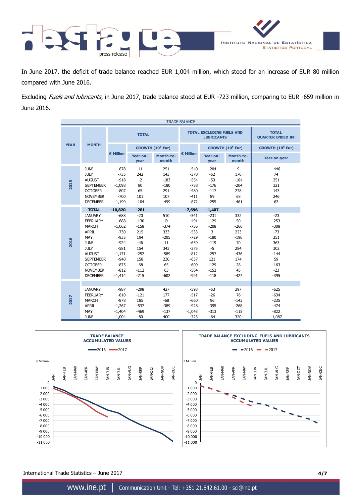

In June 2017, the deficit of trade balance reached EUR 1,004 million, which stood for an increase of EUR 80 million compared with June 2016.

Excluding Fuels and lubricants, in June 2017, trade balance stood at EUR -723 million, comparing to EUR -659 million in June 2016.

| <b>TRADE BALANCE</b> |                                                                                                                                                                                                                     |                                                                                                                                         |                                                                                                                 |                                                                                                |                                                                                                                                  |                                                                                                                        |                                                                                          |                                                                                                      |
|----------------------|---------------------------------------------------------------------------------------------------------------------------------------------------------------------------------------------------------------------|-----------------------------------------------------------------------------------------------------------------------------------------|-----------------------------------------------------------------------------------------------------------------|------------------------------------------------------------------------------------------------|----------------------------------------------------------------------------------------------------------------------------------|------------------------------------------------------------------------------------------------------------------------|------------------------------------------------------------------------------------------|------------------------------------------------------------------------------------------------------|
|                      |                                                                                                                                                                                                                     |                                                                                                                                         | <b>TOTAL</b>                                                                                                    |                                                                                                |                                                                                                                                  | <b>TOTAL EXCLUDING FUELS AND</b><br><b>LUBRICANTS</b>                                                                  | <b>TOTAL</b><br><b>QUARTER ENDED IN:</b>                                                 |                                                                                                      |
| <b>YEAR</b>          | <b>MONTH</b>                                                                                                                                                                                                        |                                                                                                                                         |                                                                                                                 | GROWTH (10 <sup>6</sup> Eur)                                                                   |                                                                                                                                  |                                                                                                                        | GROWTH (10 <sup>6</sup> Eur)                                                             | GROWTH (10 <sup>6</sup> Eur)                                                                         |
|                      |                                                                                                                                                                                                                     | € Million                                                                                                                               | Year-on-<br>year                                                                                                | Month-to-<br>month                                                                             | € Million                                                                                                                        | Year-on-<br>year                                                                                                       | Month-to-<br>month                                                                       | Year-on-year                                                                                         |
| 2015                 | <b>JUNE</b><br><b>JULY</b><br><b>AUGUST</b><br><b>SEPTEMBER</b><br><b>OCTOBER</b><br><b>NOVEMBER</b><br><b>DECEMBER</b>                                                                                             | $-878$<br>$-735$<br>$-918$<br>$-1,098$<br>$-807$<br>$-700$<br>$-1,199$                                                                  | 11<br>242<br>$-2$<br>80<br>65<br>101<br>$-104$                                                                  | 251<br>143<br>$-183$<br>$-180$<br>291<br>107<br>$-499$                                         | $-540$<br>$-370$<br>$-554$<br>$-758$<br>$-480$<br>$-411$<br>$-872$                                                               | $-204$<br>$-52$<br>$-53$<br>$-176$<br>$-117$<br>89<br>$-255$                                                           | 9<br>170<br>$-184$<br>$-204$<br>278<br>68<br>$-461$                                      | $-446$<br>74<br>251<br>321<br>143<br>246<br>62                                                       |
| 2016                 | <b>TOTAL</b><br><b>JANUARY</b><br><b>FEBRUARY</b><br><b>MARCH</b><br><b>APRIL</b><br>MAY<br><b>JUNE</b><br><b>JULY</b><br><b>AUGUST</b><br><b>SEPTEMBER</b><br><b>OCTOBER</b><br><b>NOVEMBER</b><br><b>DECEMBER</b> | $-10,820$<br>$-688$<br>$-688$<br>$-1,062$<br>$-730$<br>$-935$<br>$-924$<br>$-581$<br>$-1,171$<br>$-940$<br>$-875$<br>$-812$<br>$-1,414$ | $-281$<br>$-20$<br>$-130$<br>$-158$<br>215<br>194<br>$-46$<br>154<br>$-252$<br>158<br>$-68$<br>$-112$<br>$-215$ | 510<br>$\Theta$<br>$-374$<br>333<br>$-205$<br>11<br>343<br>$-589$<br>230<br>65<br>63<br>$-602$ | $-7,696$<br>$-541$<br>$-491$<br>$-756$<br>$-533$<br>$-729$<br>$-659$<br>$-375$<br>$-812$<br>$-637$<br>$-609$<br>$-564$<br>$-991$ | $-1,407$<br>$-231$<br>$-129$<br>$-208$<br>3<br>$-180$<br>$-119$<br>$-5$<br>$-257$<br>121<br>$-129$<br>$-152$<br>$-118$ | 332<br>50<br>$-266$<br>223<br>$-196$<br>70<br>284<br>$-436$<br>174<br>28<br>45<br>$-427$ | $-23$<br>$-253$<br>$-308$<br>$-73$<br>251<br>363<br>302<br>$-144$<br>59<br>$-163$<br>$-23$<br>$-395$ |
| 2017                 | <b>JANUARY</b><br><b>FEBRUARY</b><br><b>MARCH</b><br><b>APRIL</b><br>MAY<br><b>JUNE</b>                                                                                                                             | $-987$<br>$-810$<br>$-878$<br>$-1,267$<br>$-1,404$<br>$-1,004$                                                                          | $-298$<br>$-121$<br>185<br>$-537$<br>$-469$<br>$-80$                                                            | 427<br>177<br>$-68$<br>$-389$<br>$-137$<br>400                                                 | $-593$<br>$-517$<br>$-660$<br>$-928$<br>$-1,043$<br>$-723$                                                                       | $-53$<br>$-26$<br>96<br>$-395$<br>$-313$<br>$-64$                                                                      | 397<br>76<br>$-143$<br>$-268$<br>$-115$<br>320                                           | $-625$<br>$-634$<br>$-235$<br>$-474$<br>$-822$<br>$-1,087$                                           |



International Trade Statistics – June 2017 **4/7**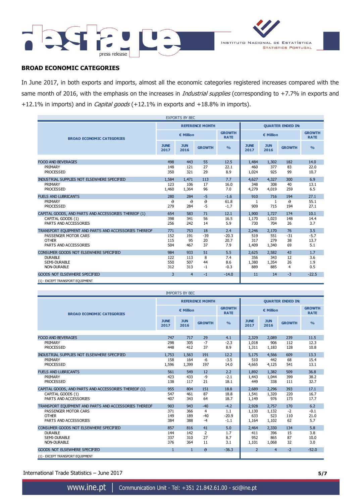



# **BROAD ECONOMIC CATEGORIES**

In June 2017, in both exports and imports, almost all the economic categories registered increases compared with the same month of 2016, with the emphasis on the increases in *Industrial supplies* (corresponding to +7.7% in exports and +12.1% in imports) and in *Capital goods* (+12.1% in exports and +18.8% in imports).

| <b>EXPORTS BY BEC</b>                                 |                     |                    |                        |                              |                          |                    |               |                              |
|-------------------------------------------------------|---------------------|--------------------|------------------------|------------------------------|--------------------------|--------------------|---------------|------------------------------|
|                                                       |                     |                    | <b>REFERENCE MONTH</b> |                              | <b>OUARTER ENDED IN:</b> |                    |               |                              |
| <b>BROAD ECONOMIC CATEGORIES</b>                      |                     | € Million          |                        | <b>GROWTH</b><br><b>RATE</b> | € Million                |                    |               | <b>GROWTH</b><br><b>RATE</b> |
|                                                       | <b>JUNE</b><br>2017 | <b>JUN</b><br>2016 | <b>GROWTH</b>          | $\frac{0}{0}$                | <b>JUNE</b><br>2017      | <b>JUN</b><br>2016 | <b>GROWTH</b> | O/2                          |
|                                                       |                     |                    |                        |                              |                          |                    |               |                              |
| <b>FOOD AND BEVERAGES</b>                             | 498                 | 443                | 55                     | 12.5                         | 1,484                    | 1,302              | 182           | 14.0                         |
| PRIMARY                                               | 148                 | 121                | 27                     | 22.1                         | 460                      | 377                | 83            | 22.0                         |
| <b>PROCESSED</b>                                      | 350                 | 321                | 29                     | 8.9                          | 1,024                    | 925                | 99            | 10.7                         |
| INDUSTRIAL SUPPLIES NOT ELSEWHERE SPECIFIED           | 1,584               | 1.471              | 113                    | 7.7                          | 4,627                    | 4,327              | 300           | 6.9                          |
| PRIMARY                                               | 123                 | 106                | 17                     | 16.0                         | 348                      | 308                | 40            | 13.1                         |
| <b>PROCESSED</b>                                      | 1,460               | 1,364              | 96                     | 7.0                          | 4,279                    | 4,019              | 259           | 6.5                          |
| <b>FUELS AND LUBRICANTS</b>                           | 280                 | 284                | $-5$                   | $-1.6$                       | 910                      | 716                | 194           | 27.1                         |
| PRIMARY                                               | $\Theta$            | $\theta$           | $\Theta$               | 61.8                         | 1                        | 1 <sub>1</sub>     | $\theta$      | 55.1                         |
| <b>PROCESSED</b>                                      | 279                 | 284                | $-5$                   | $-1.7$                       | 909                      | 715                | 194           | 27.1                         |
| CAPITAL GOODS, AND PARTS AND ACCESSORIES THEREOF (1)  | 654                 | 583                | 71                     | 12.1                         | 1,900                    | 1,727              | 174           | 10.1                         |
| CAPITAL GOODS (1)                                     | 398                 | 341                | 56                     | 16.5                         | 1,170                    | 1.023              | 148           | 14.4                         |
| PARTS AND ACCESSORIES                                 | 256                 | 242                | 14                     | 5.9                          | 730                      | 704                | 26            | 3.7                          |
|                                                       |                     |                    |                        |                              |                          |                    |               |                              |
| TRANSPORT EQUIPMENT AND PARTS AND ACCESSORIES THEREOF | 771                 | 753                | 18                     | 2.4                          | 2,246                    | 2,170              | 76            | 3.5                          |
| PASSENGER MOTOR CARS<br><b>OTHER</b>                  | 152<br>115          | 191<br>95          | $-39$                  | $-20.3$                      | 519<br>317               | $551 +$<br>279     | $-31$<br>38   | $-5.7$<br>13.7               |
| PARTS AND ACCESSORIES                                 | 504                 | 467                | 20<br>37               | 20.7<br>7.9                  | 1,409                    | 1,340              | 69            | 5.1                          |
|                                                       |                     |                    |                        |                              |                          |                    |               |                              |
| CONSUMER GOODS NOT ELSEWHERE SPECIFIED                | 984                 | 933                | 51                     | 5.5                          | 2,625                    | 2,582              | 43            | 1.7                          |
| <b>DURABLE</b>                                        | 122                 | 113                | 8                      | 7.4                          | 356                      | 343                | 12            | 3.6                          |
| <b>SEMI-DURABLE</b>                                   | 550                 | 507                | 44                     | 8.6                          | 1,380                    | 1,354              | 26            | 1.9                          |
| <b>NON-DURABLE</b>                                    | 312                 | 313                | $-1$                   | $-0.3$                       | 889                      | 885                | 4             | 0.5                          |
| <b>GOODS NOT ELSEWHERE SPECIFIED</b>                  | 3                   | $\overline{4}$     | $-1$                   | $-14.0$                      | 11                       | 14                 | $-3$          | $-22.5$                      |
| (1) - EXCEPT TRANSPORT EQUIPMENT                      |                     |                    |                        |                              |                          |                    |               |                              |

| <b>IMPORTS BY BEC</b>                                         |                        |                    |                    |                              |                          |                       |                   |                              |
|---------------------------------------------------------------|------------------------|--------------------|--------------------|------------------------------|--------------------------|-----------------------|-------------------|------------------------------|
|                                                               | <b>REFERENCE MONTH</b> |                    |                    |                              | <b>QUARTER ENDED IN:</b> |                       |                   |                              |
| <b>BROAD ECONOMIC CATEGORIES</b>                              |                        | € Million          |                    | <b>GROWTH</b><br><b>RATE</b> | € Million                |                       |                   | <b>GROWTH</b><br><b>RATE</b> |
|                                                               | <b>JUNE</b><br>2017    | <b>JUN</b><br>2016 | <b>GROWTH</b>      | O <sub>0</sub>               | <b>JUNE</b><br>2017      | <b>JUN</b><br>2016    | <b>GROWTH</b>     | $\frac{0}{0}$                |
| <b>FOOD AND BEVERAGES</b>                                     | 747                    | 717                | 29                 | 4.1                          | 2,329                    | 2,089                 | 239               | 11.5                         |
| PRIMARY<br><b>PROCESSED</b>                                   | 298<br>448             | 305<br>412         | $-7$<br>37         | $-2.3$<br>8.9                | 1,018<br>1,311           | 906<br>1,183          | 112<br>128        | 12.3<br>10.8                 |
| INDUSTRIAL SUPPLIES NOT ELSEWHERE SPECIFIED                   | 1,753                  | 1,563              | 191                | 12.2                         | 5,175                    | 4,566                 | 609               | 13.3                         |
| PRIMARY<br><b>PROCESSED</b>                                   | 158<br>1,596           | 164<br>1,399       | $-6$<br>197        | $-3.5$<br>14.0               | 510<br>4,665             | 442<br>4,125          | 68<br>541         | 15.4<br>13.1                 |
| <b>FUELS AND LUBRICANTS</b>                                   | 561                    | 549                | 12                 | 2.2                          | 1,892                    | 1,382                 | 509               | 36.8                         |
| PRIMARY<br><b>PROCESSED</b>                                   | 423<br>138             | 433<br>117         | $-9$<br>21         | $-2.1$<br>18.1               | 1,443<br>449             | 1,044<br>338          | 399<br>111        | 38.2<br>32.7                 |
| CAPITAL GOODS, AND PARTS AND ACCESSORIES THEREOF (1)          | 955                    | 804                | 151                | 18.8                         | 2,689                    | 2,296                 | 393               | 17.1                         |
| CAPITAL GOODS (1)<br>PARTS AND ACCESSORIES                    | 547<br>407             | 461<br>343         | 87<br>64           | 18.8<br>18.7                 | 1,541<br>1,149           | 1,320<br>976          | 220<br>173        | 16.7<br>17.7                 |
| TRANSPORT EQUIPMENT AND PARTS AND ACCESSORIES THEREOF         | 903                    | 943                | $-40$              | $-4.2$                       | 2,928                    | 2.757                 | 170               | 6.2                          |
| PASSENGER MOTOR CARS<br><b>OTHER</b><br>PARTS AND ACCESSORIES | 371<br>149<br>384      | 366<br>189<br>388  | 4<br>$-40$<br>$-4$ | 1.1<br>$-20.9$<br>$-1.1$     | 1,130<br>633<br>1,164    | 1,132<br>523<br>1,102 | $-2$<br>110<br>62 | $-0.1$<br>21.0<br>5.7        |
| CONSUMER GOODS NOT ELSEWHERE SPECIFIED                        | 857                    | 816                | 41                 | 5.0                          | 2,464                    | 2,330                 | 134               | 5.8                          |
| <b>DURABLE</b><br>SEMI-DURABLE                                | 144<br>337             | 142<br>310         | 2<br>27            | 1.7<br>8.7                   | 411<br>952               | 396<br>865            | 15<br>87          | 3.8<br>10.0                  |
| NON-DURABLE                                                   | 376                    | 364                | 11                 | 3.1                          | 1,101                    | 1,068                 | 32                | 3.0                          |
| <b>GOODS NOT ELSEWHERE SPECIFIED</b>                          | $\mathbf{1}$           | $\mathbf{1}$       | $\theta$           | $-36.3$                      | $\overline{2}$           | $\overline{4}$        | $-2$              | $-52.0$                      |
| (1) - EXCEPT TRANSPORT EQUIPMENT                              |                        |                    |                    |                              |                          |                       |                   |                              |

International Trade Statistics – June 2017 **5/7**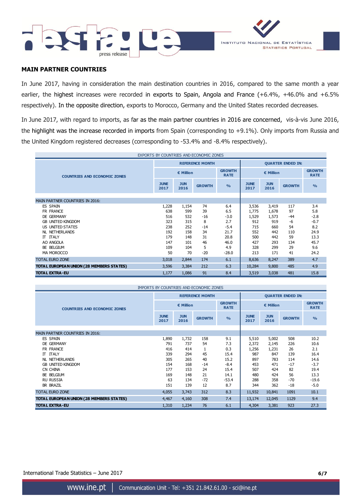



## **MAIN PARTNER COUNTRIES**

In June 2017, having in consideration the main destination countries in 2016, compared to the same month a year earlier, the highest increases were recorded in exports to Spain, Angola and France (+6.4%, +46.0% and +6.5% respectively). In the opposite direction, exports to Morocco, Germany and the United States recorded decreases.

In June 2017, with regard to imports, as far as the main partner countries in 2016 are concerned, vis-à-vis June 2016, the highlight was the increase recorded in imports from Spain (corresponding to +9.1%). Only imports from Russia and the United Kingdom registered decreases (corresponding to -53.4% and -8.4% respectively).

| EXPORTS BY COUNTRIES AND ECONOMIC ZONES  |                          |                    |                        |                |                          |                    |               |                              |
|------------------------------------------|--------------------------|--------------------|------------------------|----------------|--------------------------|--------------------|---------------|------------------------------|
|                                          |                          |                    | <b>REFERENCE MONTH</b> |                | <b>QUARTER ENDED IN:</b> |                    |               |                              |
| <b>COUNTRIES AND ECONOMIC ZONES</b>      | € Million<br><b>RATE</b> |                    |                        | <b>GROWTH</b>  | € Million                |                    |               | <b>GROWTH</b><br><b>RATE</b> |
|                                          | <b>JUNE</b><br>2017      | <b>JUN</b><br>2016 | <b>GROWTH</b>          | O <sub>0</sub> | <b>JUNE</b><br>2017      | <b>JUN</b><br>2016 | <b>GROWTH</b> | O <sub>0</sub>               |
|                                          |                          |                    |                        |                |                          |                    |               |                              |
| <b>MAIN PARTNER COUNTRIES IN 2016:</b>   |                          |                    |                        |                |                          |                    |               |                              |
| <b>ES SPAIN</b>                          | 1,228                    | 1,154              | 74                     | 6.4            | 3,536                    | 3,419              | 117           | 3.4                          |
| FR FRANCE                                | 638                      | 599                | 39                     | 6.5            | 1,775                    | 1,678              | 97            | 5.8                          |
| DE GERMANY                               | 516                      | 532                | $-16$                  | $-3.0$         | 1,529                    | 1,573              | $-44$         | $-2.8$                       |
| <b>GB UNITED KINGDOM</b>                 | 323                      | 315                | 8                      | 2.7            | 912                      | 919                | -6            | $-0.7$                       |
| US UNITED STATES                         | 238                      | 252                | $-14$                  | $-5.4$         | 715                      | 660                | 54            | 8.2                          |
| NL NETHERLANDS                           | 192                      | 158                | 34                     | 21.7           | 552                      | 442                | 110           | 24.9                         |
| <b>IT ITALY</b>                          | 179                      | 148                | 31                     | 20.8           | 500                      | 442                | 59            | 13.3                         |
| AO ANGOLA                                | 147                      | 101                | 46                     | 46.0           | 427                      | 293                | 134           | 45.7                         |
| BE BELGIUM                               | 109                      | 104                | 5                      | 4.9            | 328                      | 299                | 29            | 9.6                          |
| MA MOROCCO                               | 50                       | 70                 | $-20$                  | $-28.0$        | 213                      | 171                | 41            | 24.2                         |
| <b>TOTAL EURO ZONE</b>                   | 3,018                    | 2,844              | 174                    | 6.1            | 8,636                    | 8,247              | 389           | 4.7                          |
| TOTAL EUROPEAN UNION (28 MEMBERS STATES) | 3,596                    | 3,384              | 212                    | 6.3            | 10,284                   | 9,800              | 485           | 4.9                          |
| <b>TOTAL EXTRA-EU</b>                    | 1,177                    | 1,086              | 91                     | 8.4            | 3,519                    | 3,038              | 481           | 15.8                         |

| IMPORTS BY COUNTRIES AND ECONOMIC ZONES  |                     |                    |                        |                              |                          |                    |                              |               |
|------------------------------------------|---------------------|--------------------|------------------------|------------------------------|--------------------------|--------------------|------------------------------|---------------|
|                                          |                     |                    | <b>REFERENCE MONTH</b> |                              | <b>QUARTER ENDED IN:</b> |                    |                              |               |
| <b>COUNTRIES AND ECONOMIC ZONES</b>      | € Million           |                    |                        | <b>GROWTH</b><br><b>RATE</b> | € Million                |                    | <b>GROWTH</b><br><b>RATE</b> |               |
|                                          | <b>JUNE</b><br>2017 | <b>JUN</b><br>2016 | <b>GROWTH</b>          | $\frac{0}{0}$                | <b>JUNE</b><br>2017      | <b>JUN</b><br>2016 | <b>GROWTH</b>                | $\frac{9}{0}$ |
| <b>MAIN PARTNER COUNTRIES IN 2016:</b>   |                     |                    |                        |                              |                          |                    |                              |               |
| ES SPAIN                                 |                     |                    |                        | 9.1                          |                          |                    |                              | 10.2          |
|                                          | 1,890               | 1,732              | 158                    |                              | 5,510                    | 5,002              | 508                          |               |
| DE GERMANY                               | 791                 | 737                | 54                     | 7.3                          | 2,372                    | 2,145              | 226                          | 10.6          |
| FR FRANCE                                | 416                 | 414                |                        | 0.3                          | 1,256                    | 1,231              | 26                           | 2.1           |
| <b>IT ITALY</b>                          | 339                 | 294                | 45                     | 15.4                         | 987                      | 847                | 139                          | 16.4          |
| <b>NL NETHERLANDS</b>                    | 305                 | 265                | 40                     | 15.2                         | 897                      | 783                | 114                          | 14.6          |
| <b>GB UNITED KINGDOM</b>                 | 154                 | 168                | $-14$                  | $-8.4$                       | 453                      | 471                | $-17$                        | $-3.7$        |
| CN CHINA                                 | 177                 | 153                | 24                     | 15.4                         | 507                      | 424                | 82                           | 19.4          |
| BE BELGIUM                               | 169                 | 148                | 21                     | 14.1                         | 480                      | 424                | 56                           | 13.3          |
| <b>RU RUSSIA</b>                         | 63                  | 134                | $-72$                  | $-53.4$                      | 288                      | 358                | $-70$                        | $-19.6$       |
| <b>BR BRAZIL</b>                         | 151                 | 139                | 12                     | 8.7                          | 344                      | 362                | $-18$                        | $-5.0$        |
| <b>TOTAL EURO ZONE</b>                   | 4,055               | 3,743              | 312                    | 8.3                          | 11,932                   | 10,841             | 1091                         | 10.1          |
| TOTAL EUROPEAN UNION (28 MEMBERS STATES) | 4,467               | 4,160              | 308                    | 7.4                          | 13,174                   | 12,045             | 1129                         | 9.4           |
| <b>TOTAL EXTRA-EU</b>                    | 1,310               | 1,234              | 76                     | 6.1                          | 4,304                    | 3,381              | 923                          | 27.3          |